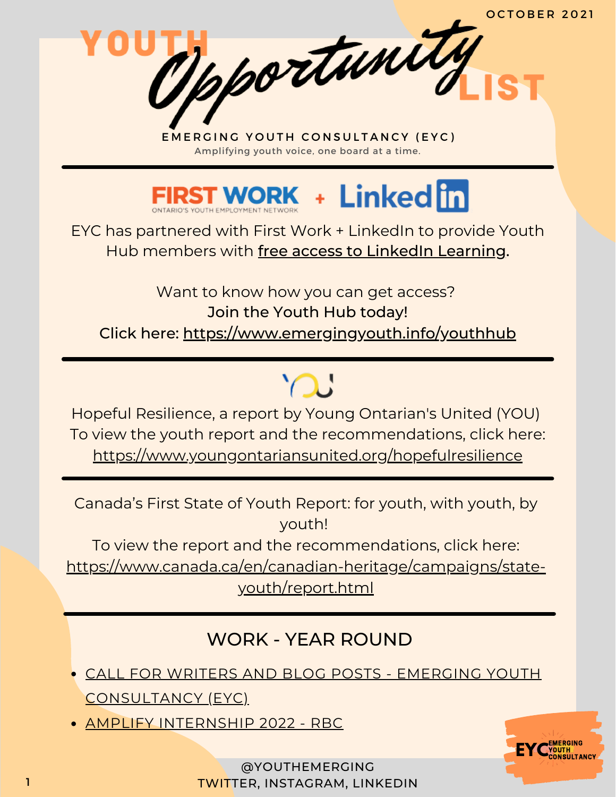Tpportunity



EYC has partnered with First Work + LinkedIn to provide Youth Hub members with free access to LinkedIn Learning.

Want to know how you can get access? Join the Youth Hub today! Click here: <https://www.emergingyouth.info/youthhub>

Hopeful Resilience, a report by Young Ontarian's United (YOU) To view the youth report and the recommendations, click here: <https://www.youngontariansunited.org/hopefulresilience>

 $\bigcap$ 

Canada's First State of Youth Report: for youth, with youth, by youth!

To view the report and the recommendations, click here:

[https://www.canada.ca/en/canadian-heritage/campaigns/state](https://www.canada.ca/en/canadian-heritage/campaigns/state-youth/report.html)youth/report.html

# WORK - YEAR ROUND

- CALL FOR WRITERS AND BLOG POSTS EMERGING YOUTH [CONSULTANCY](https://www.emergingyouth.info/youthhub) (EYC)
- AMPLIFY [INTERNSHIP](https://jobs.rbc.com/ca/en/amplify#Amplify2022_Jobs) 2022 RBC

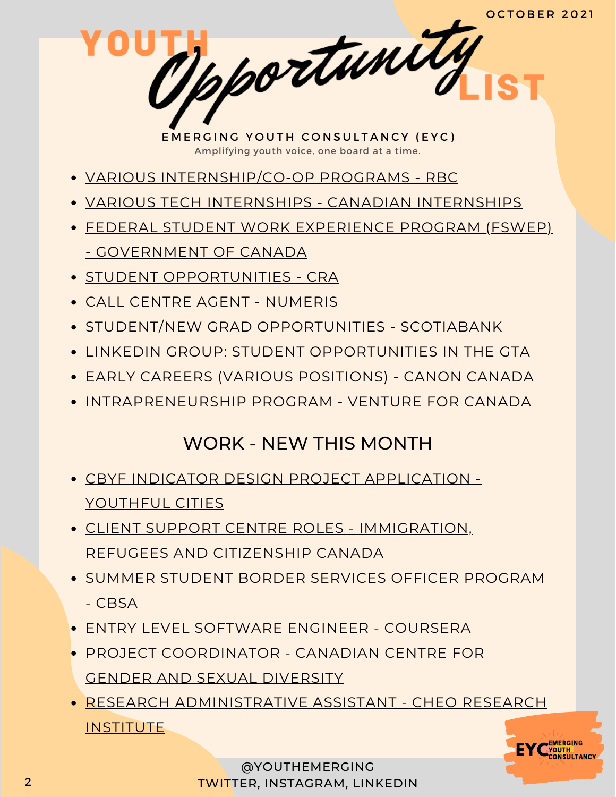pportunity

- VARIOUS [INTERNSHIP/CO-OP](https://jobs.rbc.com/ca/en/featuredopportunities/student-early-talent-jobs) PROGRAMS RBC
- VARIOUS TECH INTERNSHIPS CANADIAN [INTERNSHIPS](https://www.findcanadianinternships.ca/)
- FEDERAL STUDENT WORK EXPERIENCE PROGRAM (FSWEP) - [GOVERNMENT](https://www.canada.ca/en/public-service-commission/jobs/services/recruitment/students/federal-student-work-program.html) OF CANADA
- **STUDENT [OPPORTUNITIES](https://careers-carrieres.cra-arc.gc.ca/gol-ged/wcis/pub/rtrvjbpst.action?pi=D06726B228B01EDBB2C1A18D2C3EA0F2) CRA**
- CALL CENTRE AGENT [NUMERIS](https://numeris.csod.com/ux/ats/careersite/6/home/requisition/406?c=numeris)
- STUDENT/NEW GRAD [OPPORTUNITIES](https://jobs.scotiabank.com/go/Student-&-New-Grad-Jobs/2298417/?utm_campaign=JB_Sept20_Campus_CareerSite_CTA_EN) SCOTIABANK
- LINKEDIN GROUP: STUDENT [OPPORTUNITIES](https://www.linkedin.com/groups/12455311) IN THE GTA
- EARLY CAREERS (VARIOUS [POSITIONS\)](https://careers.canon.ca/early-careers/) CANON CANADA
- [INTRAPRENEURSHIP](https://ventureforcanada.ca/programs/intrapreneurship) PROGRAM VENTURE FOR CANADA

## WORK - NEW THIS MONTH

- CBYF INDICATOR DESIGN PROJECT [APPLICATION](https://docs.google.com/forms/d/e/1FAIpQLSeWmep21yY1R_2zcJLxO4EG-TM2DJYFkF1mo-NL8dD7h3sc3A/viewform) Y[OUTHFUL](https://docs.google.com/forms/d/e/1FAIpQLSeWmep21yY1R_2zcJLxO4EG-TM2DJYFkF1mo-NL8dD7h3sc3A/viewform) CITIES
- CLIENT SUPPORT CENTRE ROLES [IMMIGRATION,](https://emploisfp-psjobs.cfp-psc.gc.ca/psrs-srfp/applicant/page1800?toggleLanguage=en&poster=1504432) REFUGEES AND CITIZENSHIP CANADA
- [SUMM](https://emploisfp-psjobs.cfp-psc.gc.ca/srs-sre/page01.htm?poster=822&lang=en)ER STUDENT BORDER SERVICES OFFICER [PROGRAM](https://emploisfp-psjobs.cfp-psc.gc.ca/srs-sre/page01.htm?poster=822&lang=en) - CBSA
- ENTRY LEVEL [SOFTWARE](https://jobs.lever.co/coursera/76cfc6e3-ecce-4e4b-80f1-d2d1f1e2a4dd?lever-via=xp2WksmwPq) ENGINEER COURSERA
- PROJECT [COORDINATOR](https://ccgsd-ccdgs.org/careers/) CANADIAN CENTRE FOR GENDER AND SEXUAL DIVERSITY
- RESEARCH [ADMINISTRATIVE](https://www.linkedin.com/posts/cheo-research_administrative-assistant-activity-6846795988112302081-52tl/) ASSISTANT CHEO RESEARCH **INSTITUTE**



@YOUTHEMERGING 2 TWITTER, INSTAGRAM, LINKEDIN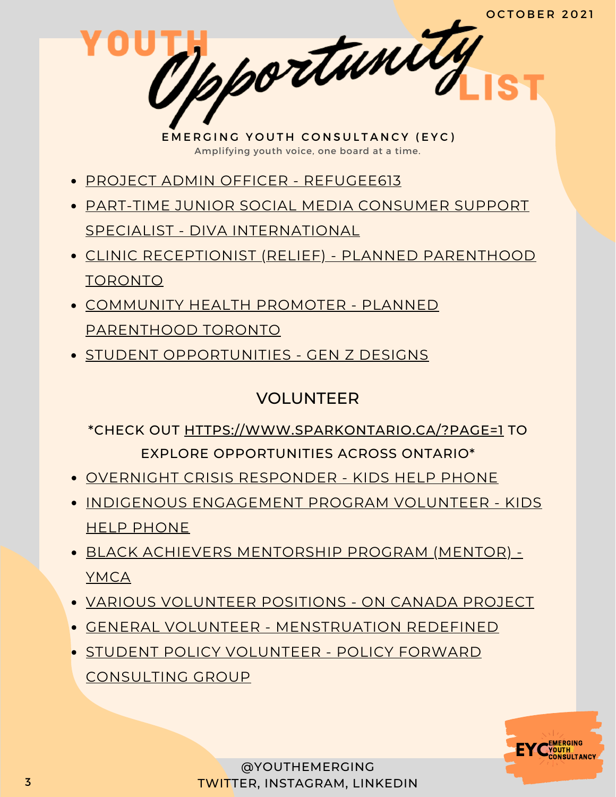Mpportunity

- PROJECT ADMIN OFFICER [REFUGEE613](https://ociso.org/job/refugee613-project-administration-officer/)
- PART-TIME JUNIOR SOCIAL MEDIA CONSUMER SUPPORT SPECIALIST - DIVA [INTERNATIONAL](https://divainternationalinc.applytojob.com/apply/vSXAbMLqvI/PartTime-Junior-Social-Media-Consumer-Support-Specialist)
- CLINIC [RECEPTIONIST](http://ppt.on.ca/job/clinic-reception-relief/) (RELIEF) PLANNED PARENTHOOD TORONTO
- COMMUNITY HEALTH PROMOTER PLANNED [PARENTHOOD](http://ppt.on.ca/job/community-health-promoter/) TORONTO
- **STUDENT [OPPORTUNITIES](https://www.linkedin.com/posts/andrew-roth43_students-genz-studentsoflinkedin-activity-6849051452443381760-srPu/) GEN Z DESIGNS**

### VOLUNTEER

#### \*CHECK OUT [HTTPS://WWW.SPARKONTARIO.CA/?PAGE=1](https://www.sparkontario.ca/?page=1) TO EXPLORE OPPORTUNITIES ACROSS ONTARIO\*

- [OVER](https://kidshelpphone.ca/get-involved/participate/call-volunteers-crisis-text-line)NIGHT CRISIS [RESPONDER](https://kidshelpphone.ca/get-involved/participate/call-volunteers-crisis-text-line) KIDS HELP PHONE
- INDIGENOUS [ENGAGEMENT](https://kidshelpphone.ca/get-involved/first-nations-inuit-and-metis/volunteer-for-our-indigenous-engagement-program/) PROGRAM VOLUNTEER KIDS HELP PHONE
- BLACK ACHIEVERS [MENTORSHIP](https://ymcagta.org/youth-programs/Black-Achievers-Mentorship-Program) PROGRAM (MENTOR) YMCA
- VARIOUS [VOLUNTEER](https://docs.google.com/forms/d/e/1FAIpQLSciMF1ROT1f_mGS2Wx822QU0zDYcf3zka0UC9rIAM9z03W8Pw/viewform) POSITIONS ON CANADA PROJECT
- GENERAL VOLUNTEER [MENSTRUATION](https://docs.google.com/forms/d/e/1FAIpQLSe-ORQRxArU5ZwQWT3JfGEjRtyUwanp5p64UPHwK1nL5Pz__w/viewform) REDEFINED
- **STUDENT POLICY VOLUNTEER POLICY FORWARD** [CONSULTING](https://www.linkedin.com/posts/policy-forward-consulting-group_policyforward-policyconsultants-volunteer-activity-6848327793269387264-k9jy) GROUP

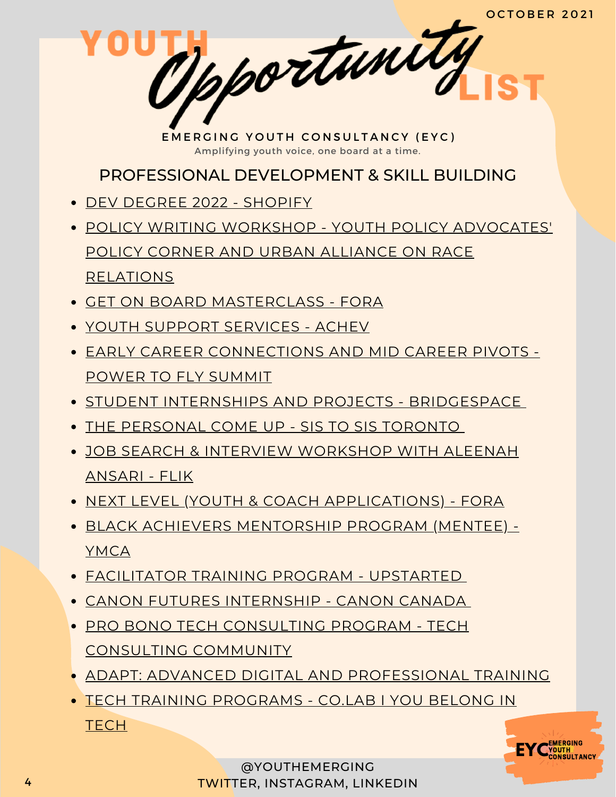pportunity

PROFESSIONAL DEVELOPMENT & SKILL BUILDING

- DEV DEGREE 2022 [SHOPIFY](https://jobs.smartrecruiters.com/ni/Shopify/f92f7d2f-7359-4066-9111-7df6054c6dc6-dev-degree-2022)
- POLICY WRITING WORKSHOP YOUTH POLICY [ADVOCATES'](https://www.linkedin.com/posts/ypa-policycorner_training-event-policywriting-activity-6848999489592725504-BOQt) POLICY CORNER AND URBAN ALLIANCE ON RACE RELATIONS
- GET ON BOARD [MASTERCLASS](https://girls20.submittable.com/submit) FORA
- YOUTH SUPPORT [SERVICES](https://achev.ca/services/youth/) ACHEV
- EARLY CAREER [CONNECTIONS](https://summit.powertofly.com/) AND MID CAREER PIVOTS POWER TO FLY SUMMIT
- **STUDENT INTERNSHIPS AND PROJECTS [BRIDGESPACE](https://bridgespace.io/)**
- THE [PERSONAL](https://docs.google.com/forms/d/e/1FAIpQLSckp26KhOm7DfXsaNb0_JDS_plLspDnUygOP1cPJbexch6XDA/viewform) COME UP SIS TO SIS TORONTO
- JOB SEARCH & INTERVIEW [WORKSHOP](https://www.runtheworld.today/app/c/jobsearch-interviewskills) WITH ALEENAH ANSARI - FLIK
- NEXT LEVEL (YOUTH & COACH [APPLICATIONS\)](https://girls20.submittable.com/submit) FORA
- BLACK ACHIEVERS [MENTORSHIP](https://ymcagta.org/youth-programs/Black-Achievers-Mentorship-Program) PROGRAM (MENTEE) YMCA
- [FACILITATOR](https://docs.google.com/forms/d/e/1FAIpQLSe1fDhYODRagameDOKsf4_FfWns-yNAQEeNTHWK5Pn7XxHuog/viewform) TRAINING PROGRAM UPSTARTED
- CANON FUTURES [INTERNSHIP](https://www.canonfutures.ca/) CANON CANADA
- PRO BONO TECH [CONSULTING](https://techconsultingcommunity.com/pro-bono-tech-consulting/) PROGRAM TECH CONSULTING COMMUNITY
- ADAPT: ADVANCED DIGITAL AND [PROFESSIONAL](https://www.ryerson.ca/adapt/) TRAINING
- TECH TRAINING [PROGRAMS](https://www.joincolab.io/#Program-Tracks) CO.LAB I YOU BELONG IN **TECH**

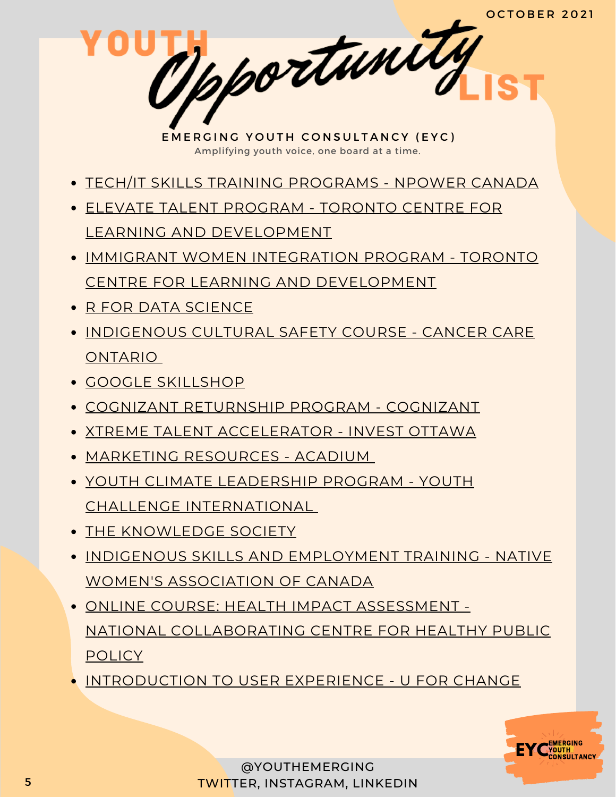Mpportunity

- TECH/IT SKILLS TRAINING [PROGRAMS](https://npowercanada.ca/) NPOWER CANADA
- ELEVATE TALENT PROGRAM TORONTO CENTRE FOR LEARNING AND [DEVELOPMENT](https://www.tccld.org/programs/elevatetalent/)
- IMMIGRANT WOMEN INTEGRATION PROGRAM TORONTO CENTRE FOR LEARNING AND [DEVELOPMENT](https://survey.zohopublic.com/zs/I5CCbQ)
- R FOR DATA [SCIENCE](https://r4ds.had.co.nz/)
- **[INDIGENOUS](https://elearning.cancercare.on.ca/course/view.php?id=101) CULTURAL SAFETY COURSE CANCER CARE** ONTARIO
- GOOGLE [SKILLSHOP](https://skillshop.withgoogle.com/)
- COGNIZANT [RETURNSHIP](https://careers.cognizant.com/global/en/cognizant-returnship-program) PROGRAM COGNIZANT
- XTREME TALENT [ACCELERATOR](https://www.investottawa.ca/xtreme-talent-accelerator/?utm_source=LinkedIn&utm_medium=Paid%20Ads&utm_campaign=XTAP%20Paid%20Ads&li_fat_id=f24b5ec5-db43-4428-88f9-92b5a2d0c0dc) INVEST OTTAWA
- MARKETING [RESOURCES](https://acadium.com/) ACADIUM
- YOUTH CLIMATE LEADERSHIP PROGRAM YOUTH CHALLENGE [INTERNATIONAL](https://www.yci.org/innovatemyfuture/youth-climate-leadership/)
- THE [KNOWLEDGE](https://tks.world/program/) SOCIETY
- **INDIGENOUS SKILLS AND [EMPLOYMENT](https://www.nwac.ca/iset/) TRAINING NATIVE** WOMEN'S ASSOCIATION OF CANADA
- ONLINE COURSE: HEALTH IMPACT ASSESSMENT NATIONAL [COLLABORATING](https://www.ncchpp.ca/274/online-course.ccnpps) CENTRE FOR HEALTHY PUBLIC **POLICY**
- [INTRODUCTION](https://docs.google.com/forms/d/e/1FAIpQLSctSd9ZAcZBpswQj0URzEHVXlpF--qyT2AR6_1tKyoFS1iIYQ/viewform) TO USER EXPERIENCE U FOR CHANGE

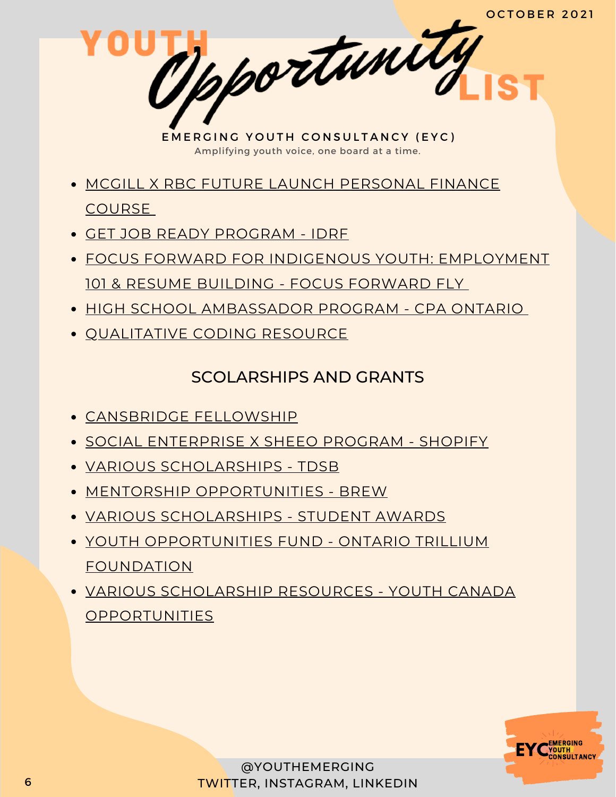- MCGILL X RBC FUTURE LAUNCH [PERSONAL](https://learn.mcgillpersonalfinance.com/account/login/) FINANCE COURSE
- GET JOB READY [PROGRAM](https://idrf.ca/project/getjobready/) IDRF
- FOCUS FORWARD FOR INDIGENOUS YOUTH: [EMPLOYMENT](https://docs.google.com/forms/d/e/1FAIpQLSfRCREo2hIabn1L271SDl0wPRkApB5N12_6bON-DnyYu8lGEg/viewform) 101 & RESUME BUILDING - FOCUS FORWARD FLY
- HIGH SCHOOL [AMBASSADOR](https://www.cpaontario.ca/become-a-cpa/why-cpa/high-school-ambassador-program) PROGRAM CPA ONTARIO
- **OUALITATIVE CODING RESOURCE**

#### SCOLARSHIPS AND GRANTS

- [CANSBRIDGE](https://www.cansbridgefellowship.com/) FELLOWSHIP
- SOCIAL [ENTERPRISE](https://shopifyxsheeoscholarship.splashthat.com/socialimpact) X SHEEO PROGRAM SHOPIFY
- VARIOUS [SCHOLARSHIPS](https://schoolweb.tdsb.on.ca/avondalesa/Scholarships) TDSB
- MENTORSHIP [OPPORTUNITIES](https://www.instagram.com/brew_ca/) BREW
- VARIOUS [SCHOLARSHIPS](https://studentawards.com/scholarships/era-electronic-recycling-association-scholarship/) STUDENT AWARDS
- YOUTH [OPPORTUNITIES](https://www.otf.ca/our-grants/youth-opportunities-fund) FUND ONTARIO TRILLIUM FOUNDATION
- VARIOUS SCHOLARSHIP RESOURCES YOUTH CANADA **[OPPORTUNITIES](https://www.instagram.com/youthcanadaopportunities/?hl=en)**